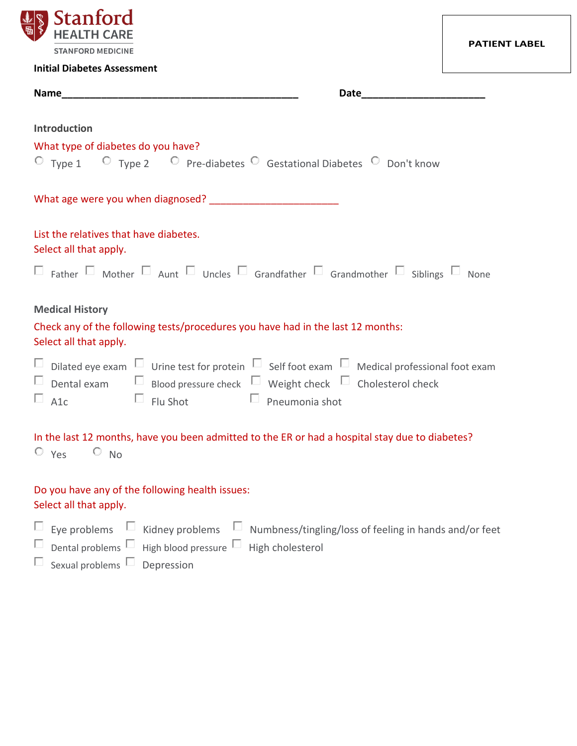

| <b>Initial Diabetes Assessment</b>                                                                                                                                                                                                                                   |
|----------------------------------------------------------------------------------------------------------------------------------------------------------------------------------------------------------------------------------------------------------------------|
| Name and the state of the state of the state of the state of the state of the state of the state of the state of the state of the state of the state of the state of the state of the state of the state of the state of the s<br><b>Date</b>                        |
| <b>Introduction</b><br>What type of diabetes do you have?<br>$\circ$ Type 1 $\circ$ Type 2 $\circ$ Pre-diabetes $\circ$ Gestational Diabetes $\circ$ Don't know                                                                                                      |
|                                                                                                                                                                                                                                                                      |
| List the relatives that have diabetes.<br>Select all that apply.                                                                                                                                                                                                     |
| $\Box$ Father $\Box$ Mother $\Box$ Aunt $\Box$ Uncles $\Box$ Grandfather $\Box$ Grandmother $\Box$ Siblings $\Box$ None                                                                                                                                              |
| <b>Medical History</b>                                                                                                                                                                                                                                               |
| Check any of the following tests/procedures you have had in the last 12 months:<br>Select all that apply.                                                                                                                                                            |
| $\Box$ Dilated eye exam $\Box$ Urine test for protein $\Box$ Self foot exam $\Box$ Medical professional foot exam<br>$\Box$ Dental exam $\Box$ Blood pressure check $\Box$ Weight check $\Box$ Cholesterol check<br>$\Box$ A1c $\Box$ Flu Shot $\Box$ Pneumonia shot |
| In the last 12 months, have you been admitted to the ER or had a hospital stay due to diabetes?<br>$O_{Yes}$ $O_{NO}$                                                                                                                                                |
| Do you have any of the following health issues:<br>Select all that apply.                                                                                                                                                                                            |
| $\Box$ Eye problems $\Box$ Kidney problems $\Box$ Numbness/tingling/loss of feeling in hands and/or feet<br>$\Box$ Dental problems $\Box$ High blood pressure $\Box$ High cholesterol                                                                                |

Sexual problems  $\Box$  Depression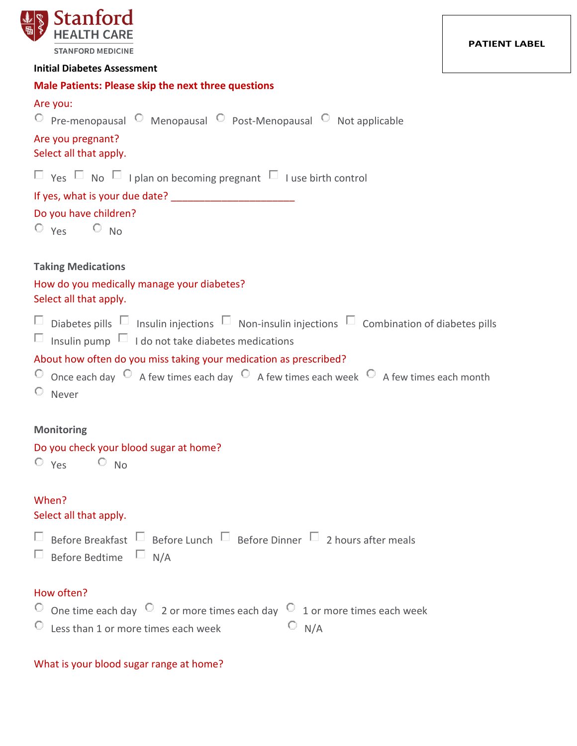

| <b>Male Patients: Please skip the next three questions</b><br>Are you:                                                                                                                                |
|-------------------------------------------------------------------------------------------------------------------------------------------------------------------------------------------------------|
| $\circ$ Pre-menopausal $\circ$ Menopausal $\circ$ Post-Menopausal $\circ$ Not applicable                                                                                                              |
| Are you pregnant?<br>Select all that apply.                                                                                                                                                           |
| $\Box$ Yes $\Box$ No $\Box$ I plan on becoming pregnant $\Box$ I use birth control                                                                                                                    |
|                                                                                                                                                                                                       |
| Do you have children?<br>$O$ $Yes$ $O$ $No$                                                                                                                                                           |
| <b>Taking Medications</b>                                                                                                                                                                             |
| How do you medically manage your diabetes?<br>Select all that apply.                                                                                                                                  |
| $\Box$ Diabetes pills $\Box$ Insulin injections $\Box$ Non-insulin injections $\Box$ Combination of diabetes pills<br>$\Box$ Insulin pump $\Box$ I do not take diabetes medications                   |
| About how often do you miss taking your medication as prescribed?<br>$\circ$ Once each day $\circ$ A few times each day $\circ$ A few times each week $\circ$ A few times each month<br>$\circ$ Never |
| <b>Monitoring</b>                                                                                                                                                                                     |
| Do you check your blood sugar at home?<br>$O_{Yes}$ $O_{NO}$                                                                                                                                          |
| When?<br>Select all that apply.                                                                                                                                                                       |
| $\Box$ Before Breakfast $\Box$ Before Lunch $\Box$ Before Dinner $\Box$ 2 hours after meals<br>$\Box$ Before Bedtime $\Box$ N/A                                                                       |
| How often?<br>$\degree$ One time each day $\degree$ 2 or more times each day $\degree$ 1 or more times each week<br>$\circ$ Less than 1 or more times each week<br>$\circ$ N/A                        |

# What is your blood sugar range at home?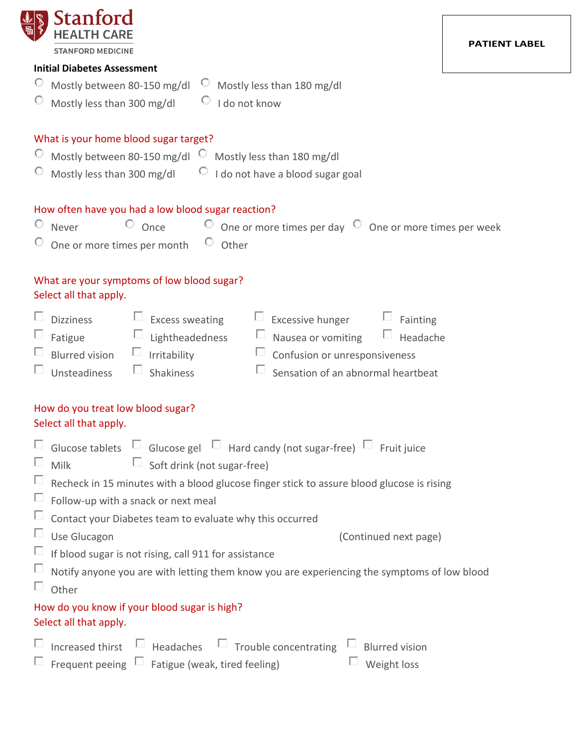| Stanford                                                                                                                                                                                                                                                                                                                                               |               |
|--------------------------------------------------------------------------------------------------------------------------------------------------------------------------------------------------------------------------------------------------------------------------------------------------------------------------------------------------------|---------------|
| <b>STANFORD MEDICINE</b>                                                                                                                                                                                                                                                                                                                               | PATIENT LABEI |
| <b>Initial Diabetes Assessment</b>                                                                                                                                                                                                                                                                                                                     |               |
| Mostly between 80-150 mg/dl<br>$\circ$ Mostly less than 180 mg/dl                                                                                                                                                                                                                                                                                      |               |
| Mostly less than 300 mg/dl<br>$\circ$ I do not know                                                                                                                                                                                                                                                                                                    |               |
| What is your home blood sugar target?                                                                                                                                                                                                                                                                                                                  |               |
| Mostly between 80-150 mg/dl C Mostly less than 180 mg/dl                                                                                                                                                                                                                                                                                               |               |
| Mostly less than 300 mg/dl $\Box$ 1 do not have a blood sugar goal                                                                                                                                                                                                                                                                                     |               |
| How often have you had a low blood sugar reaction?<br>$\circ$ Once $\circ$ One or more times per day $\circ$ One or more times per week<br>$\circ$ Never<br>One or more times per month © Other                                                                                                                                                        |               |
| What are your symptoms of low blood sugar?<br>Select all that apply.                                                                                                                                                                                                                                                                                   |               |
| $\Box$ Excess sweating<br>$\Box$ Excessive hunger $\Box$ Fainting<br><b>Dizziness</b><br>Nausea or vomiting $\Box$ Headache<br>$\Box$ Lightheadedness<br>$\Box$<br>Fatigue<br>$\Box$ Irritability<br>$\Box$ Confusion or unresponsiveness<br><b>Blurred vision</b><br>$\Box$ Shakiness<br>Sensation of an abnormal heartbeat<br>$\Box$<br>Unsteadiness |               |
| How do you treat low blood sugar?<br>Select all that apply.                                                                                                                                                                                                                                                                                            |               |
| Glucose tablets $\Box$ Glucose gel $\Box$ Hard candy (not sugar-free) $\Box$ Fruit juice<br>$\Box$ Soft drink (not sugar-free)<br>Milk                                                                                                                                                                                                                 |               |
| Recheck in 15 minutes with a blood glucose finger stick to assure blood glucose is rising                                                                                                                                                                                                                                                              |               |
| Follow-up with a snack or next meal                                                                                                                                                                                                                                                                                                                    |               |
| Contact your Diabetes team to evaluate why this occurred                                                                                                                                                                                                                                                                                               |               |
| Use Glucagon<br>(Continued next page)                                                                                                                                                                                                                                                                                                                  |               |
| If blood sugar is not rising, call 911 for assistance                                                                                                                                                                                                                                                                                                  |               |
| Notify anyone you are with letting them know you are experiencing the symptoms of low blood<br>Other                                                                                                                                                                                                                                                   |               |
| How do you know if your blood sugar is high?<br>Select all that apply.                                                                                                                                                                                                                                                                                 |               |
| Increased thirst $\Box$ Headaches $\Box$ Trouble concentrating $\Box$ Blurred vision<br>Frequent peeing $\Box$ Fatigue (weak, tired feeling)<br>$\Box$ Weight loss                                                                                                                                                                                     |               |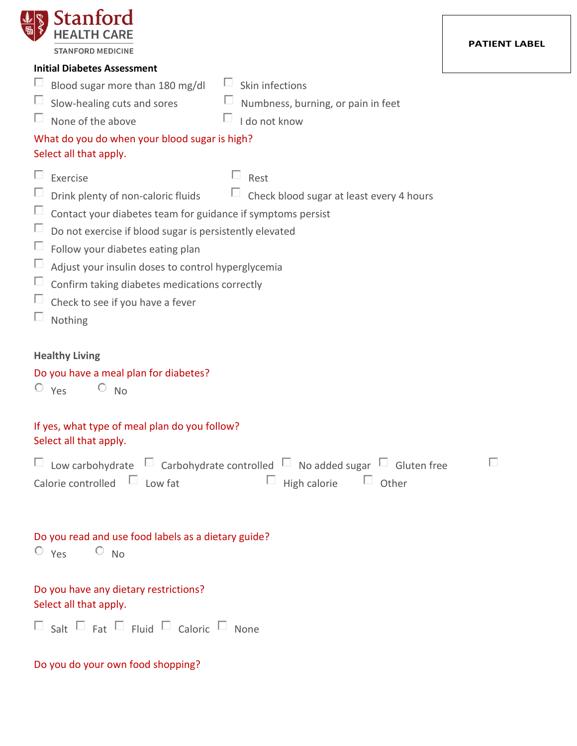| <b>Stanford</b><br><b>STANFORD MEDICINE</b><br><b>Initial Diabetes Assessment</b><br>Blood sugar more than 180 mg/dl<br>Skin infections<br>Slow-healing cuts and sores<br>Numbness, burning, or pain in feet<br>I do not know<br>None of the above<br>What do you do when your blood sugar is high?<br>Select all that apply.<br>Rest<br>Exercise<br>Check blood sugar at least every 4 hours<br>Drink plenty of non-caloric fluids<br>Ш<br>Contact your diabetes team for guidance if symptoms persist<br>Do not exercise if blood sugar is persistently elevated<br>Follow your diabetes eating plan | <b>PATIENT LABEL</b> |
|--------------------------------------------------------------------------------------------------------------------------------------------------------------------------------------------------------------------------------------------------------------------------------------------------------------------------------------------------------------------------------------------------------------------------------------------------------------------------------------------------------------------------------------------------------------------------------------------------------|----------------------|
|                                                                                                                                                                                                                                                                                                                                                                                                                                                                                                                                                                                                        |                      |
|                                                                                                                                                                                                                                                                                                                                                                                                                                                                                                                                                                                                        |                      |
|                                                                                                                                                                                                                                                                                                                                                                                                                                                                                                                                                                                                        |                      |
|                                                                                                                                                                                                                                                                                                                                                                                                                                                                                                                                                                                                        |                      |
|                                                                                                                                                                                                                                                                                                                                                                                                                                                                                                                                                                                                        |                      |
|                                                                                                                                                                                                                                                                                                                                                                                                                                                                                                                                                                                                        |                      |
| Adjust your insulin doses to control hyperglycemia<br>Confirm taking diabetes medications correctly<br>Check to see if you have a fever<br>Nothing                                                                                                                                                                                                                                                                                                                                                                                                                                                     |                      |

# **Healthy Living**

## Do you have a meal plan for diabetes?

 $O$   $Yes$   $O$   $No$ 

## If yes, what type of meal plan do you follow? Select all that apply.

|                                   | $\Box$ Low carbohydrate $\Box$ Carbohydrate controlled $\Box$ No added sugar $\Box$ Gluten free |                                  |  | $\Box$ |
|-----------------------------------|-------------------------------------------------------------------------------------------------|----------------------------------|--|--------|
| Calorie controlled $\Box$ Low fat |                                                                                                 | $\Box$ High calorie $\Box$ Other |  |        |

| Do you read and use food labels as a dietary guide? |  |  |  |  |  |
|-----------------------------------------------------|--|--|--|--|--|
| $\overline{O}$ Yes $\overline{O}$ No                |  |  |  |  |  |
|                                                     |  |  |  |  |  |

# Do you have any dietary restrictions? Select all that apply.

| $\Box$ Salt $\Box$ Fat $\Box$ Fluid $\Box$ Caloric $\Box$ None |  |  |
|----------------------------------------------------------------|--|--|
|----------------------------------------------------------------|--|--|

Do you do your own food shopping?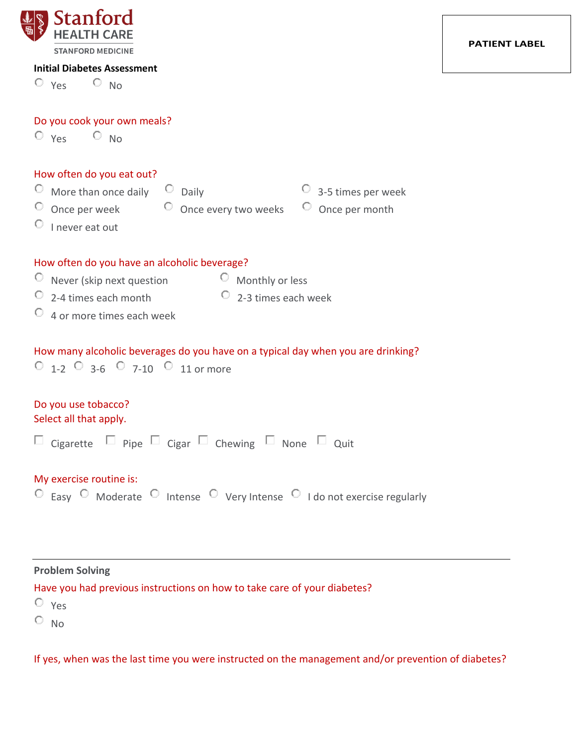

Do you cook your own meals?

 $O_{Yes}$   $O_{NO}$ 

#### **PATIENT LABEL**

| $O$ $Yes$ $O$ $No$                                                                                                                                                                                                                 |
|------------------------------------------------------------------------------------------------------------------------------------------------------------------------------------------------------------------------------------|
| How often do you eat out?<br>O<br>More than once daily $\Box$ Daily<br>$\overline{\phantom{a}}$ 3-5 times per week<br>$\heartsuit$ Once per week<br>$\circ$ Once every two weeks $\circ$ Once per month<br>$\circ$ I never eat out |
| How often do you have an alcoholic beverage?                                                                                                                                                                                       |
| $\heartsuit$ Never (skip next question<br>$\circ$ Monthly or less                                                                                                                                                                  |
| $\circ$ 2-3 times each week<br>2-4 times each month                                                                                                                                                                                |
| $\overline{\phantom{a}}$ 4 or more times each week                                                                                                                                                                                 |
| How many alcoholic beverages do you have on a typical day when you are drinking?<br>$\circ$ 1-2 $\circ$ 3-6 $\circ$ 7-10 $\circ$ 11 or more                                                                                        |
| Do you use tobacco?<br>Select all that apply.                                                                                                                                                                                      |
| $\Box$ Cigarette $\Box$ Pipe $\Box$ Cigar $\Box$ Chewing $\Box$ None $\Box$ Quit                                                                                                                                                   |
| My exercise routine is:<br>$\circ$ Easy $\circ$ Moderate $\circ$ Intense $\circ$ Very Intense $\circ$ I do not exercise regularly                                                                                                  |

**Problem Solving**

Have you had previous instructions on how to take care of your diabetes?

Yes

 $O$  No

If yes, when was the last time you were instructed on the management and/or prevention of diabetes?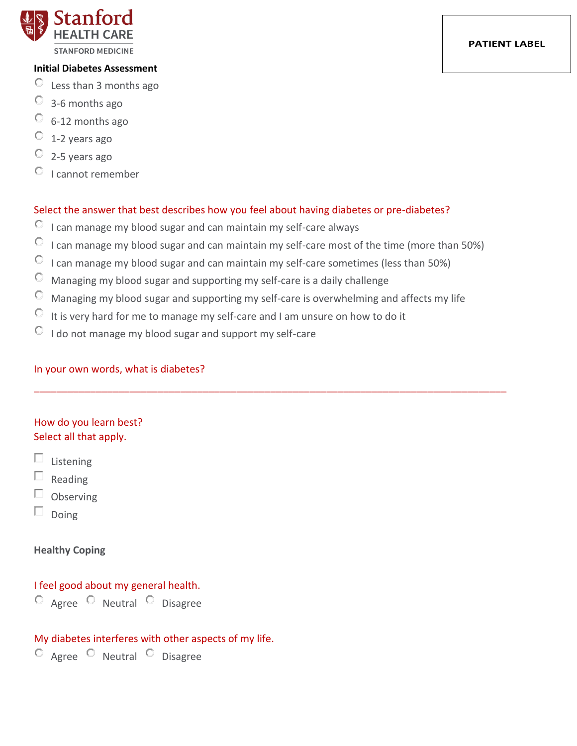

- Less than 3 months ago
- $\circ$  3-6 months ago
- $\circ$  6-12 months ago
- $\degree$  1-2 years ago
- $\degree$  2-5 years ago
- $\circ$  I cannot remember

### Select the answer that best describes how you feel about having diabetes or pre-diabetes?

- $\circledcirc$  I can manage my blood sugar and can maintain my self-care always
- $\circ$  I can manage my blood sugar and can maintain my self-care most of the time (more than 50%)
- $\circledcirc$  I can manage my blood sugar and can maintain my self-care sometimes (less than 50%)
- $\degree$  Managing my blood sugar and supporting my self-care is a daily challenge
- Managing my blood sugar and supporting my self-care is overwhelming and affects my life

\_\_\_\_\_\_\_\_\_\_\_\_\_\_\_\_\_\_\_\_\_\_\_\_\_\_\_\_\_\_\_\_\_\_\_\_\_\_\_\_\_\_\_\_\_\_\_\_\_\_\_\_\_\_\_\_\_\_\_\_\_\_\_\_\_\_\_\_\_\_\_\_\_\_\_\_\_\_\_\_\_\_\_\_

- $\circledcirc$  It is very hard for me to manage my self-care and I am unsure on how to do it
- $\circ$  I do not manage my blood sugar and support my self-care

### In your own words, what is diabetes?

# How do you learn best? Select all that apply.

- $\square$  Listening
- $\Box$ Reading
- $\Box$  Observing
- П. Doing

### **Healthy Coping**

## I feel good about my general health.

 $\circ$  Agree  $\circ$  Neutral  $\circ$  Disagree

### My diabetes interferes with other aspects of my life.

O Agree O Neutral O Disagree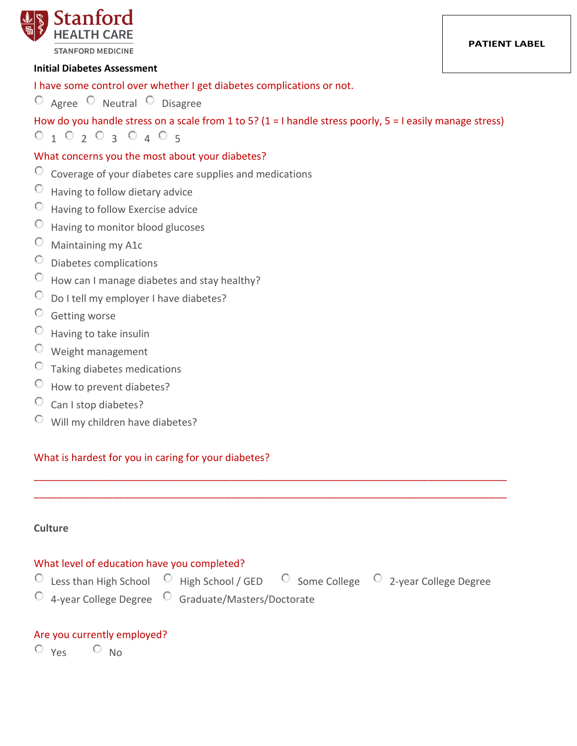

I have some control over whether I get diabetes complications or not.

 $\circ$  Agree  $\circ$  Neutral  $\circ$  Disagree

How do you handle stress on a scale from 1 to 5? (1 = I handle stress poorly, 5 = I easily manage stress)

 $0$  1  $0$  2  $0$  3  $0$  4  $0$  5

# What concerns you the most about your diabetes?

- $\degree$  Coverage of your diabetes care supplies and medications
- $\circ$  Having to follow dietary advice
- Having to follow Exercise advice
- Having to monitor blood glucoses
- Maintaining my A1c
- $\circ$  Diabetes complications
- How can I manage diabetes and stay healthy?
- $\circledcirc$  Do I tell my employer I have diabetes?
- Getting worse
- Having to take insulin
- Weight management
- $\circ$  Taking diabetes medications
- $\circledcirc$  How to prevent diabetes?
- $\circ$  Can I stop diabetes?
- Will my children have diabetes?

### What is hardest for you in caring for your diabetes?

### **Culture**

### What level of education have you completed?

 $\overline{C}$  Less than High School  $\overline{C}$  High School / GED  $\overline{C}$  Some College  $\overline{C}$  2-year College Degree

- 
- 
- 

 $\overline{O}$  4-year College Degree  $\overline{O}$  Graduate/Masters/Doctorate

\_\_\_\_\_\_\_\_\_\_\_\_\_\_\_\_\_\_\_\_\_\_\_\_\_\_\_\_\_\_\_\_\_\_\_\_\_\_\_\_\_\_\_\_\_\_\_\_\_\_\_\_\_\_\_\_\_\_\_\_\_\_\_\_\_\_\_\_\_\_\_\_\_\_\_\_\_\_\_\_\_\_\_\_ \_\_\_\_\_\_\_\_\_\_\_\_\_\_\_\_\_\_\_\_\_\_\_\_\_\_\_\_\_\_\_\_\_\_\_\_\_\_\_\_\_\_\_\_\_\_\_\_\_\_\_\_\_\_\_\_\_\_\_\_\_\_\_\_\_\_\_\_\_\_\_\_\_\_\_\_\_\_\_\_\_\_\_\_

# Are you currently employed?

 $O_{Yes}$   $O_{No}$ 

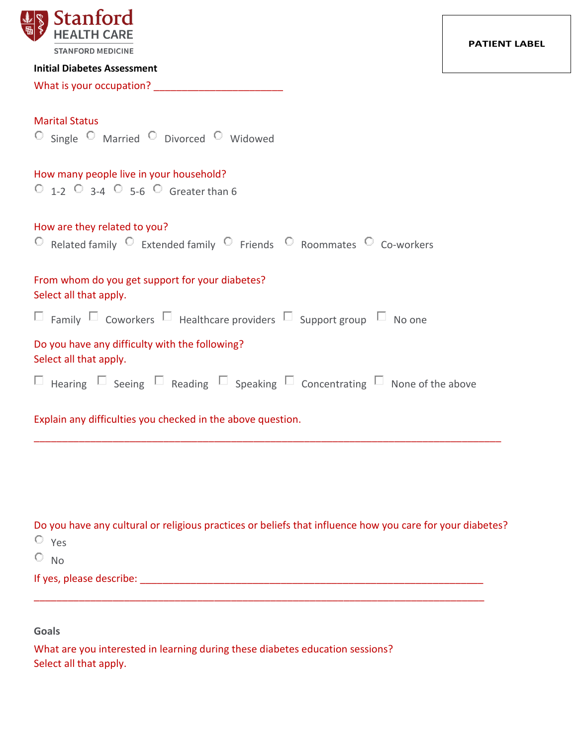| <b>STANFORD MEDICINE</b>                                                                                  |  |
|-----------------------------------------------------------------------------------------------------------|--|
| <b>Initial Diabetes Assessment</b>                                                                        |  |
| What is your occupation? _______                                                                          |  |
| <b>Marital Status</b>                                                                                     |  |
| $\circ$ Single $\circ$ Married $\circ$ Divorced $\circ$ Widowed                                           |  |
|                                                                                                           |  |
| How many people live in your household?<br>$\circ$ 1-2 $\circ$ 3-4 $\circ$ 5-6 $\circ$ Greater than 6     |  |
|                                                                                                           |  |
| How are they related to you?                                                                              |  |
| $\circ$ Related family $\circ$ Extended family $\circ$ Friends $\circ$ Roommates $\circ$ Co-workers       |  |
|                                                                                                           |  |
| From whom do you get support for your diabetes?<br>Select all that apply.                                 |  |
| $\Box$ Family $\Box$ Coworkers $\Box$ Healthcare providers $\Box$ Support group $\Box$ No one             |  |
|                                                                                                           |  |
| Do you have any difficulty with the following?                                                            |  |
| Select all that apply.                                                                                    |  |
| $\Box$ Hearing $\Box$ Seeing $\Box$ Reading $\Box$ Speaking $\Box$ Concentrating $\Box$ None of the above |  |
| Explain any difficulties you checked in the above question.                                               |  |
|                                                                                                           |  |

Do you have any cultural or religious practices or beliefs that influence how you care for your diabetes? Yes  $O$  No If yes, please describe: \_\_\_\_\_\_\_\_\_\_\_\_\_\_\_\_\_\_\_\_\_\_\_\_\_\_\_\_\_\_\_\_\_\_\_\_\_\_\_\_\_\_\_\_\_\_\_\_\_\_\_\_\_\_\_\_\_\_\_\_\_

\_\_\_\_\_\_\_\_\_\_\_\_\_\_\_\_\_\_\_\_\_\_\_\_\_\_\_\_\_\_\_\_\_\_\_\_\_\_\_\_\_\_\_\_\_\_\_\_\_\_\_\_\_\_\_\_\_\_\_\_\_\_\_\_\_\_\_\_\_\_\_\_\_\_\_\_\_\_\_\_

**Goals**

What are you interested in learning during these diabetes education sessions? Select all that apply.